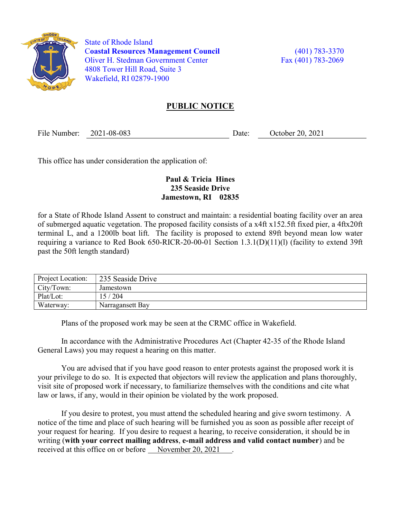

 State of Rhode Island Coastal Resources Management Council (401) 783-3370 Oliver H. Stedman Government Center Fax (401) 783-2069 4808 Tower Hill Road, Suite 3 Wakefield, RI 02879-1900

## PUBLIC NOTICE

File Number: 2021-08-083 Date: October 20, 2021

This office has under consideration the application of:

## Paul & Tricia Hines 235 Seaside Drive Jamestown, RI 02835

for a State of Rhode Island Assent to construct and maintain: a residential boating facility over an area of submerged aquatic vegetation. The proposed facility consists of a x4ft x152.5ft fixed pier, a 4ftx20ft terminal L, and a 1200lb boat lift. The facility is proposed to extend 89ft beyond mean low water requiring a variance to Red Book 650-RICR-20-00-01 Section 1.3.1(D)(11)(l) (facility to extend 39ft past the 50ft length standard)

| Project Location: | 235 Seaside Drive |
|-------------------|-------------------|
| City/Town:        | Jamestown         |
| Plat/Lot:         | 15/204            |
| Waterway:         | Narragansett Bay  |

Plans of the proposed work may be seen at the CRMC office in Wakefield.

In accordance with the Administrative Procedures Act (Chapter 42-35 of the Rhode Island General Laws) you may request a hearing on this matter.

You are advised that if you have good reason to enter protests against the proposed work it is your privilege to do so. It is expected that objectors will review the application and plans thoroughly, visit site of proposed work if necessary, to familiarize themselves with the conditions and cite what law or laws, if any, would in their opinion be violated by the work proposed.

If you desire to protest, you must attend the scheduled hearing and give sworn testimony. A notice of the time and place of such hearing will be furnished you as soon as possible after receipt of your request for hearing. If you desire to request a hearing, to receive consideration, it should be in writing (with your correct mailing address, e-mail address and valid contact number) and be received at this office on or before November 20, 2021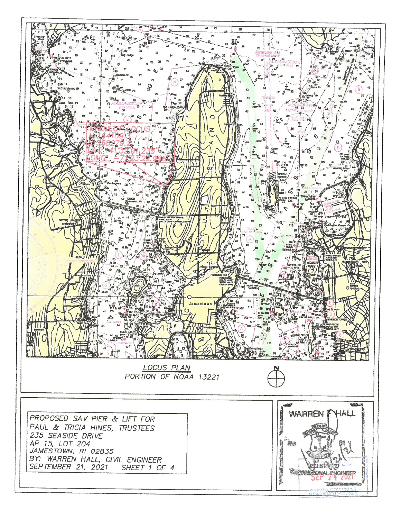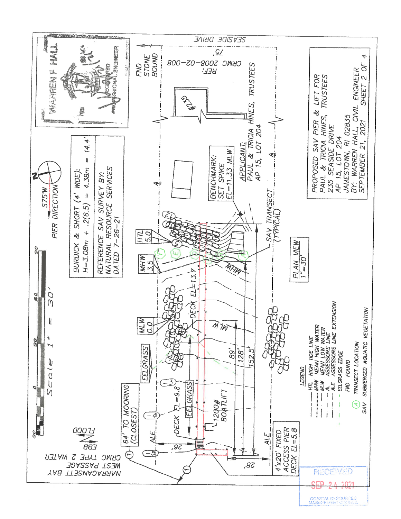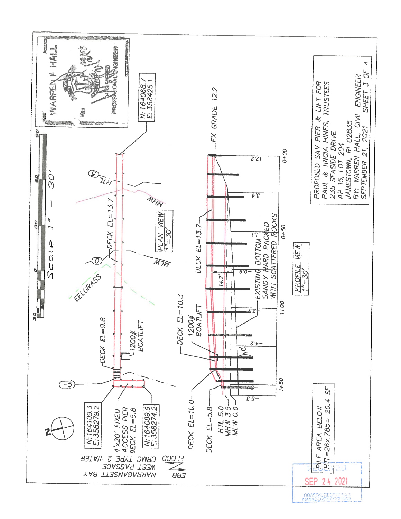